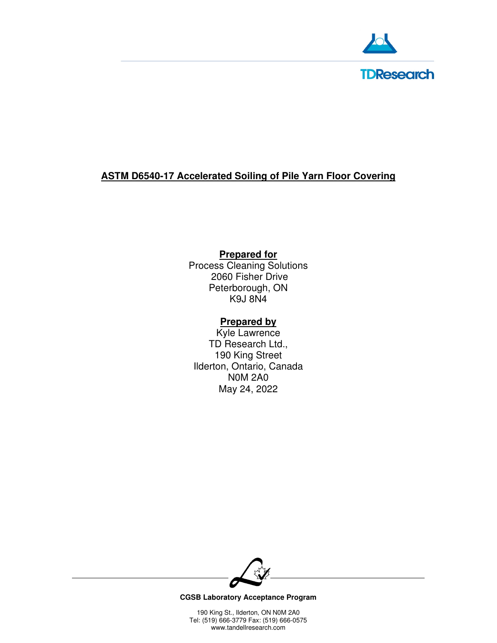

## **ASTM D6540-17 Accelerated Soiling of Pile Yarn Floor Covering**

## **Prepared for**

Process Cleaning Solutions 2060 Fisher Drive Peterborough, ON K9J 8N4

## **Prepared by**

Kyle Lawrence TD Research Ltd., 190 King Street Ilderton, Ontario, Canada N0M 2A0 May 24, 2022



**CGSB Laboratory Acceptance Program**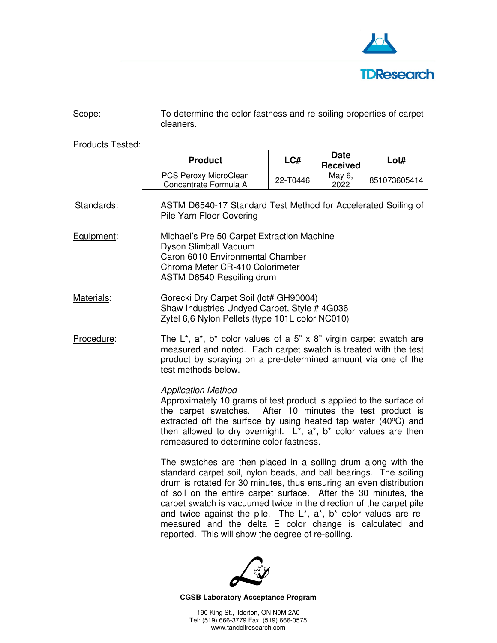

| Scope: | To determine the color-fastness and re-soiling properties of carpet |
|--------|---------------------------------------------------------------------|
|        | cleaners.                                                           |

Products Tested:

|            | <b>Product</b>                                                                                                                                                                                                                                                                                                                                                                                                                                                                                                                                    | LCH                                                                                                                                            | <b>Date</b><br><b>Received</b> | Lot#                                 |
|------------|---------------------------------------------------------------------------------------------------------------------------------------------------------------------------------------------------------------------------------------------------------------------------------------------------------------------------------------------------------------------------------------------------------------------------------------------------------------------------------------------------------------------------------------------------|------------------------------------------------------------------------------------------------------------------------------------------------|--------------------------------|--------------------------------------|
|            | PCS Peroxy MicroClean<br>Concentrate Formula A                                                                                                                                                                                                                                                                                                                                                                                                                                                                                                    | 22-T0446                                                                                                                                       | May 6,<br>2022                 | 851073605414                         |
| Standards: | Pile Yarn Floor Covering                                                                                                                                                                                                                                                                                                                                                                                                                                                                                                                          | <b>ASTM D6540-17 Standard Test Method for Accelerated Soiling of</b>                                                                           |                                |                                      |
| Equipment: | Dyson Slimball Vacuum                                                                                                                                                                                                                                                                                                                                                                                                                                                                                                                             | Michael's Pre 50 Carpet Extraction Machine<br>Caron 6010 Environmental Chamber<br>Chroma Meter CR-410 Colorimeter<br>ASTM D6540 Resoiling drum |                                |                                      |
| Materials: | Gorecki Dry Carpet Soil (lot# GH90004)<br>Shaw Industries Undyed Carpet, Style # 4G036<br>Zytel 6,6 Nylon Pellets (type 101L color NC010)                                                                                                                                                                                                                                                                                                                                                                                                         |                                                                                                                                                |                                |                                      |
| Procedure: | The $L^*$ , $a^*$ , $b^*$ color values of a 5" x 8" virgin carpet swatch are<br>measured and noted. Each carpet swatch is treated with the test<br>product by spraying on a pre-determined amount via one of the<br>test methods below.                                                                                                                                                                                                                                                                                                           |                                                                                                                                                |                                |                                      |
|            | <b>Application Method</b><br>Approximately 10 grams of test product is applied to the surface of<br>the carpet swatches.<br>extracted off the surface by using heated tap water (40°C) and<br>then allowed to dry overnight. $L^*$ , $a^*$ , $b^*$ color values are then<br>remeasured to determine color fastness.                                                                                                                                                                                                                               |                                                                                                                                                |                                | After 10 minutes the test product is |
|            | The swatches are then placed in a soiling drum along with the<br>standard carpet soil, nylon beads, and ball bearings. The soiling<br>drum is rotated for 30 minutes, thus ensuring an even distribution<br>of soil on the entire carpet surface. After the 30 minutes, the<br>carpet swatch is vacuumed twice in the direction of the carpet pile<br>and twice against the pile. The $L^*$ , $a^*$ , $b^*$ color values are re-<br>measured and the delta E color change is calculated and<br>reported. This will show the degree of re-soiling. |                                                                                                                                                |                                |                                      |



#### **CGSB Laboratory Acceptance Program**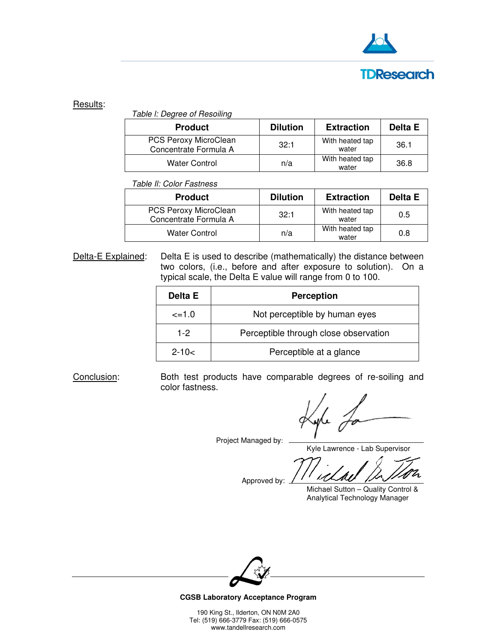

# **TDResearch**

### Results:

Table l: Degree of Resoiling

| <b>Product</b>                                 | <b>Dilution</b> | <b>Extraction</b>        | Delta E |
|------------------------------------------------|-----------------|--------------------------|---------|
| PCS Peroxy MicroClean<br>Concentrate Formula A | 32:1            | With heated tap<br>water | 36.1    |
| <b>Water Control</b>                           | n/a             | With heated tap<br>water | 36.8    |

Table Il: Color Fastness

| <b>Product</b>                                 | <b>Dilution</b> | <b>Extraction</b>        | Delta E |
|------------------------------------------------|-----------------|--------------------------|---------|
| PCS Peroxy MicroClean<br>Concentrate Formula A | 32:1            | With heated tap<br>water | 0.5     |
| <b>Water Control</b>                           | n/a             | With heated tap<br>water | 0.8     |

Delta-E Explained: Delta E is used to describe (mathematically) the distance between two colors, (i.e., before and after exposure to solution). On a typical scale, the Delta E value will range from 0 to 100.

| Delta E      | <b>Perception</b>                     |
|--------------|---------------------------------------|
| $\leq$ = 1.0 | Not perceptible by human eyes         |
| $1-2$        | Perceptible through close observation |
| $2 - 10 <$   | Perceptible at a glance               |

Conclusion: Both test products have comparable degrees of re-soiling and color fastness.

Project Managed by:

Kyle Lawrence - Lab Supervisor

Approved by:

Michael Sutton – Quality Control & Analytical Technology Manager



**CGSB Laboratory Acceptance Program**